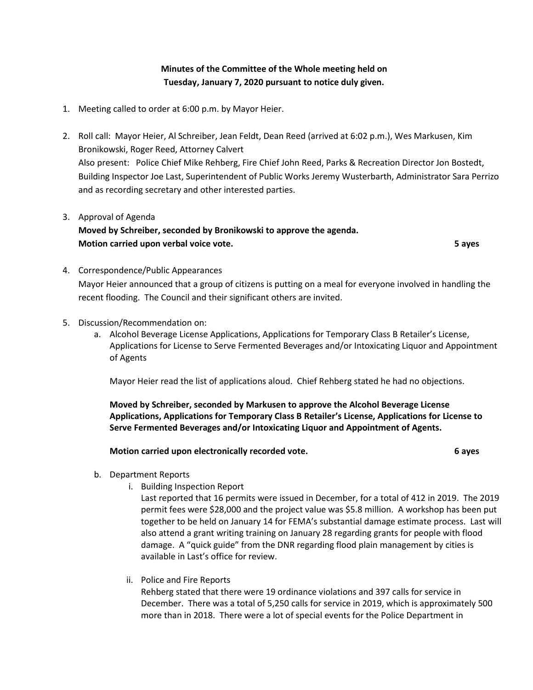**Minutes of the Committee of the Whole meeting held on Tuesday, January 7, 2020 pursuant to notice duly given.**

- 1. Meeting called to order at 6:00 p.m. by Mayor Heier.
- 2. Roll call: Mayor Heier, Al Schreiber, Jean Feldt, Dean Reed (arrived at 6:02 p.m.), Wes Markusen, Kim Bronikowski, Roger Reed, Attorney Calvert Also present: Police Chief Mike Rehberg, Fire Chief John Reed, Parks & Recreation Director Jon Bostedt, Building Inspector Joe Last, Superintendent of Public Works Jeremy Wusterbarth, Administrator Sara Perrizo and as recording secretary and other interested parties.
- 3. Approval of Agenda **Moved by Schreiber, seconded by Bronikowski to approve the agenda. Motion carried upon verbal voice vote. 5 ayes**
- 4. Correspondence/Public Appearances Mayor Heier announced that a group of citizens is putting on a meal for everyone involved in handling the recent flooding. The Council and their significant others are invited.
- 5. Discussion/Recommendation on:
	- a. Alcohol Beverage License Applications, Applications for Temporary Class B Retailer's License, Applications for License to Serve Fermented Beverages and/or Intoxicating Liquor and Appointment of Agents

Mayor Heier read the list of applications aloud. Chief Rehberg stated he had no objections.

**Moved by Schreiber, seconded by Markusen to approve the Alcohol Beverage License Applications, Applications for Temporary Class B Retailer's License, Applications for License to Serve Fermented Beverages and/or Intoxicating Liquor and Appointment of Agents.**

## **Motion carried upon electronically recorded vote. 6 ayes**

- b. Department Reports
	- i. Building Inspection Report

Last reported that 16 permits were issued in December, for a total of 412 in 2019. The 2019 permit fees were \$28,000 and the project value was \$5.8 million. A workshop has been put together to be held on January 14 for FEMA's substantial damage estimate process. Last will also attend a grant writing training on January 28 regarding grants for people with flood damage. A "quick guide" from the DNR regarding flood plain management by cities is available in Last's office for review.

ii. Police and Fire Reports

Rehberg stated that there were 19 ordinance violations and 397 calls for service in December. There was a total of 5,250 calls for service in 2019, which is approximately 500 more than in 2018. There were a lot of special events for the Police Department in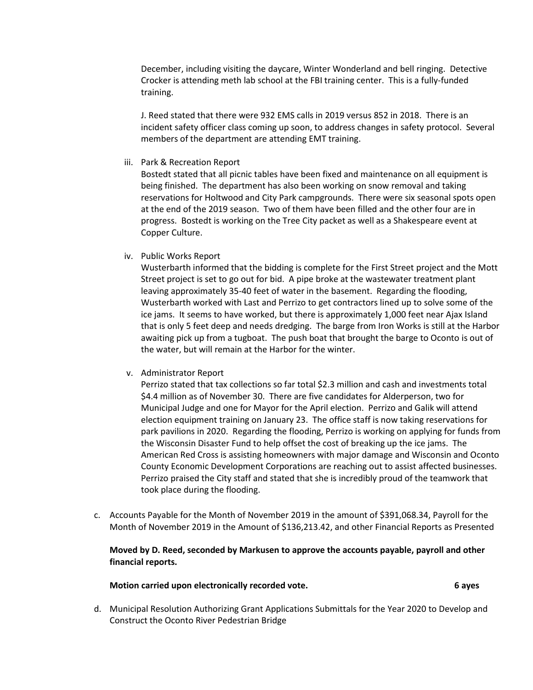December, including visiting the daycare, Winter Wonderland and bell ringing. Detective Crocker is attending meth lab school at the FBI training center. This is a fully-funded training.

J. Reed stated that there were 932 EMS calls in 2019 versus 852 in 2018. There is an incident safety officer class coming up soon, to address changes in safety protocol. Several members of the department are attending EMT training.

iii. Park & Recreation Report

Bostedt stated that all picnic tables have been fixed and maintenance on all equipment is being finished. The department has also been working on snow removal and taking reservations for Holtwood and City Park campgrounds. There were six seasonal spots open at the end of the 2019 season. Two of them have been filled and the other four are in progress. Bostedt is working on the Tree City packet as well as a Shakespeare event at Copper Culture.

iv. Public Works Report

Wusterbarth informed that the bidding is complete for the First Street project and the Mott Street project is set to go out for bid. A pipe broke at the wastewater treatment plant leaving approximately 35-40 feet of water in the basement. Regarding the flooding, Wusterbarth worked with Last and Perrizo to get contractors lined up to solve some of the ice jams. It seems to have worked, but there is approximately 1,000 feet near Ajax Island that is only 5 feet deep and needs dredging. The barge from Iron Works is still at the Harbor awaiting pick up from a tugboat. The push boat that brought the barge to Oconto is out of the water, but will remain at the Harbor for the winter.

v. Administrator Report

Perrizo stated that tax collections so far total \$2.3 million and cash and investments total \$4.4 million as of November 30. There are five candidates for Alderperson, two for Municipal Judge and one for Mayor for the April election. Perrizo and Galik will attend election equipment training on January 23. The office staff is now taking reservations for park pavilions in 2020. Regarding the flooding, Perrizo is working on applying for funds from the Wisconsin Disaster Fund to help offset the cost of breaking up the ice jams. The American Red Cross is assisting homeowners with major damage and Wisconsin and Oconto County Economic Development Corporations are reaching out to assist affected businesses. Perrizo praised the City staff and stated that she is incredibly proud of the teamwork that took place during the flooding.

c. Accounts Payable for the Month of November 2019 in the amount of \$391,068.34, Payroll for the Month of November 2019 in the Amount of \$136,213.42, and other Financial Reports as Presented

**Moved by D. Reed, seconded by Markusen to approve the accounts payable, payroll and other financial reports.**

**Motion carried upon electronically recorded vote. 6 ayes**

d. Municipal Resolution Authorizing Grant Applications Submittals for the Year 2020 to Develop and Construct the Oconto River Pedestrian Bridge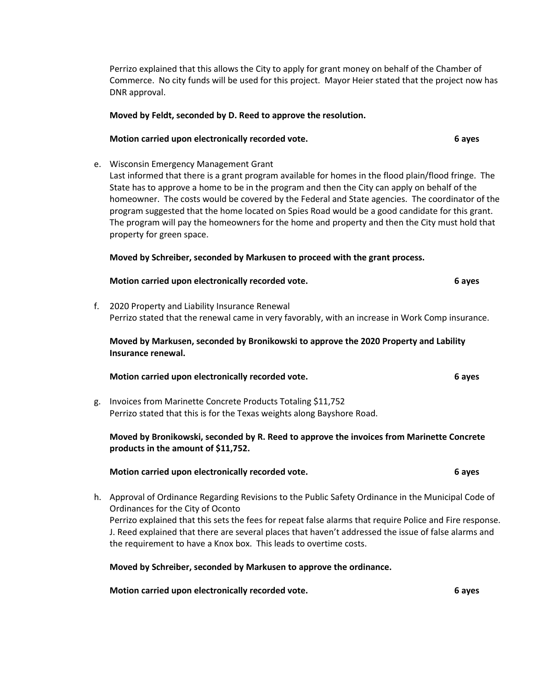Perrizo explained that this allows the City to apply for grant money on behalf of the Chamber of Commerce. No city funds will be used for this project. Mayor Heier stated that the project now has DNR approval.

#### **Moved by Feldt, seconded by D. Reed to approve the resolution.**

#### **Motion carried upon electronically recorded vote. 6 ayes**

e. Wisconsin Emergency Management Grant

Last informed that there is a grant program available for homes in the flood plain/flood fringe. The State has to approve a home to be in the program and then the City can apply on behalf of the homeowner. The costs would be covered by the Federal and State agencies. The coordinator of the program suggested that the home located on Spies Road would be a good candidate for this grant. The program will pay the homeowners for the home and property and then the City must hold that property for green space.

#### **Moved by Schreiber, seconded by Markusen to proceed with the grant process.**

| Motion carried upon electronically recorded vote.                                                                                                 | 6 aves |
|---------------------------------------------------------------------------------------------------------------------------------------------------|--------|
| 2020 Property and Liability Insurance Renewal<br>Perrizo stated that the renewal came in very favorably, with an increase in Work Comp insurance. |        |

**Moved by Markusen, seconded by Bronikowski to approve the 2020 Property and Lability Insurance renewal.**

## **Motion carried upon electronically recorded vote. 6 ayes**

g. Invoices from Marinette Concrete Products Totaling \$11,752 Perrizo stated that this is for the Texas weights along Bayshore Road.

# **Moved by Bronikowski, seconded by R. Reed to approve the invoices from Marinette Concrete products in the amount of \$11,752.**

#### **Motion carried upon electronically recorded vote. 6 ayes**

h. Approval of Ordinance Regarding Revisions to the Public Safety Ordinance in the Municipal Code of Ordinances for the City of Oconto Perrizo explained that this sets the fees for repeat false alarms that require Police and Fire response. J. Reed explained that there are several places that haven't addressed the issue of false alarms and the requirement to have a Knox box. This leads to overtime costs.

**Moved by Schreiber, seconded by Markusen to approve the ordinance.**

**Motion carried upon electronically recorded vote. 6 ayes**